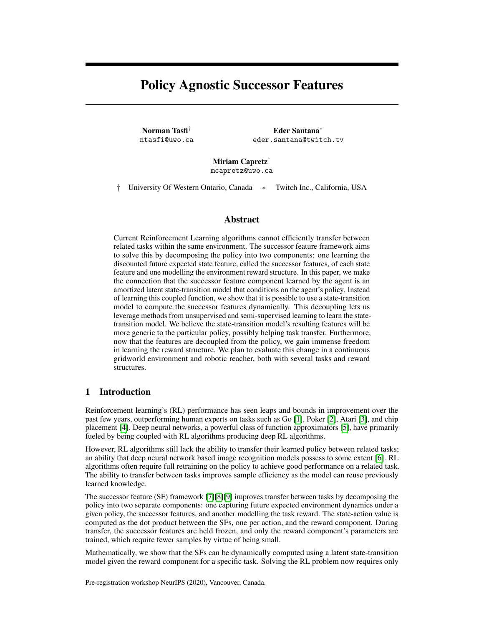# Policy Agnostic Successor Features

Norman Tasfi† ntasfi@uwo.ca

Eder Santana<sup>∗</sup> eder.santana@twitch.tv

Miriam Capretz† mcapretz@uwo.ca

† University Of Western Ontario, Canada ∗ Twitch Inc., California, USA

## Abstract

Current Reinforcement Learning algorithms cannot efficiently transfer between related tasks within the same environment. The successor feature framework aims to solve this by decomposing the policy into two components: one learning the discounted future expected state feature, called the successor features, of each state feature and one modelling the environment reward structure. In this paper, we make the connection that the successor feature component learned by the agent is an amortized latent state-transition model that conditions on the agent's policy. Instead of learning this coupled function, we show that it is possible to use a state-transition model to compute the successor features dynamically. This decoupling lets us leverage methods from unsupervised and semi-supervised learning to learn the statetransition model. We believe the state-transition model's resulting features will be more generic to the particular policy, possibly helping task transfer. Furthermore, now that the features are decoupled from the policy, we gain immense freedom in learning the reward structure. We plan to evaluate this change in a continuous gridworld environment and robotic reacher, both with several tasks and reward structures.

## 1 Introduction

Reinforcement learning's (RL) performance has seen leaps and bounds in improvement over the past few years, outperforming human experts on tasks such as Go [\[1\]](#page-6-0), Poker [\[2\]](#page-6-1), Atari [\[3\]](#page-6-2), and chip placement [\[4\]](#page-6-3). Deep neural networks, a powerful class of function approximators [\[5\]](#page-6-4), have primarily fueled by being coupled with RL algorithms producing deep RL algorithms.

However, RL algorithms still lack the ability to transfer their learned policy between related tasks; an ability that deep neural network based image recognition models possess to some extent [\[6\]](#page-6-5). RL algorithms often require full retraining on the policy to achieve good performance on a related task. The ability to transfer between tasks improves sample efficiency as the model can reuse previously learned knowledge.

The successor feature (SF) framework [\[7\]](#page-6-6)[\[8\]](#page-6-7)[\[9\]](#page-6-8) improves transfer between tasks by decomposing the policy into two separate components: one capturing future expected environment dynamics under a given policy, the successor features, and another modelling the task reward. The state-action value is computed as the dot product between the SFs, one per action, and the reward component. During transfer, the successor features are held frozen, and only the reward component's parameters are trained, which require fewer samples by virtue of being small.

Mathematically, we show that the SFs can be dynamically computed using a latent state-transition model given the reward component for a specific task. Solving the RL problem now requires only

Pre-registration workshop NeurIPS (2020), Vancouver, Canada.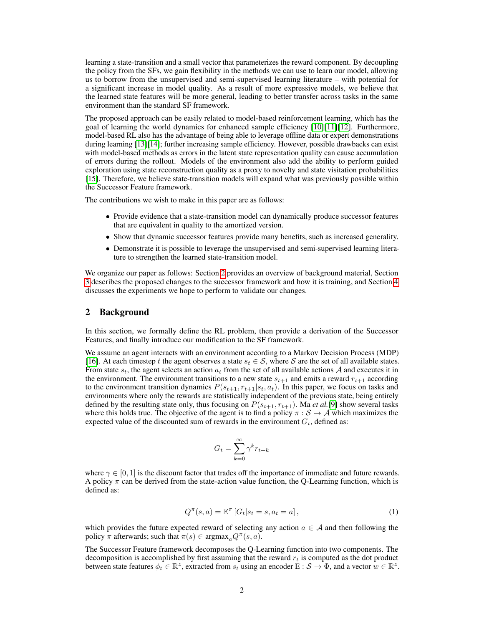learning a state-transition and a small vector that parameterizes the reward component. By decoupling the policy from the SFs, we gain flexibility in the methods we can use to learn our model, allowing us to borrow from the unsupervised and semi-supervised learning literature – with potential for a significant increase in model quality. As a result of more expressive models, we believe that the learned state features will be more general, leading to better transfer across tasks in the same environment than the standard SF framework.

The proposed approach can be easily related to model-based reinforcement learning, which has the goal of learning the world dynamics for enhanced sample efficiency [\[10\]](#page-6-9)[\[11\]](#page-6-10)[\[12\]](#page-6-11). Furthermore, model-based RL also has the advantage of being able to leverage offline data or expert demonstrations during learning [\[13\]](#page-6-12)[\[14\]](#page-6-13); further increasing sample efficiency. However, possible drawbacks can exist with model-based methods as errors in the latent state representation quality can cause accumulation of errors during the rollout. Models of the environment also add the ability to perform guided exploration using state reconstruction quality as a proxy to novelty and state visitation probabilities [\[15\]](#page-6-14). Therefore, we believe state-transition models will expand what was previously possible within the Successor Feature framework.

The contributions we wish to make in this paper are as follows:

- Provide evidence that a state-transition model can dynamically produce successor features that are equivalent in quality to the amortized version.
- Show that dynamic successor features provide many benefits, such as increased generality.
- Demonstrate it is possible to leverage the unsupervised and semi-supervised learning literature to strengthen the learned state-transition model.

We organize our paper as follows: Section [2](#page-1-0) provides an overview of background material, Section [3](#page-2-0) describes the proposed changes to the successor framework and how it is training, and Section [4](#page-4-0) discusses the experiments we hope to perform to validate our changes.

## <span id="page-1-0"></span>2 Background

In this section, we formally define the RL problem, then provide a derivation of the Successor Features, and finally introduce our modification to the SF framework.

We assume an agent interacts with an environment according to a Markov Decision Process (MDP) [\[16\]](#page-6-15). At each timestep t the agent observes a state  $s_t \in S$ , where S are the set of all available states. From state  $s_t$ , the agent selects an action  $a_t$  from the set of all available actions A and executes it in the environment. The environment transitions to a new state  $s_{t+1}$  and emits a reward  $r_{t+1}$  according to the environment transition dynamics  $P(s_{t+1}, r_{t+1}|s_t, a_t)$ . In this paper, we focus on tasks and environments where only the rewards are statistically independent of the previous state, being entirely defined by the resulting state only, thus focusing on  $P(s_{t+1}, r_{t+1})$ . Ma *et al.*[\[9\]](#page-6-8) show several tasks where this holds true. The objective of the agent is to find a policy  $\pi : \mathcal{S} \mapsto \mathcal{A}$  which maximizes the expected value of the discounted sum of rewards in the environment  $G_t$ , defined as:

$$
G_t = \sum_{k=0}^{\infty} \gamma^k r_{t+k}
$$

<span id="page-1-1"></span>where  $\gamma \in [0, 1]$  is the discount factor that trades off the importance of immediate and future rewards. A policy  $\pi$  can be derived from the state-action value function, the Q-Learning function, which is defined as:

$$
Q^{\pi}(s, a) = \mathbb{E}^{\pi} [G_t | s_t = s, a_t = a],
$$
\n(1)

which provides the future expected reward of selecting any action  $a \in \mathcal{A}$  and then following the policy  $\pi$  afterwards; such that  $\pi(s) \in \text{argmax}_{a} Q^{\pi}(s, a)$ .

The Successor Feature framework decomposes the Q-Learning function into two components. The decomposition is accomplished by first assuming that the reward  $r_t$  is computed as the dot product between state features  $\phi_t \in \mathbb{R}^z$ , extracted from  $s_t$  using an encoder  $\hat{E}: \mathcal{S} \to \Phi$ , and a vector  $w \in \mathbb{R}^z$ .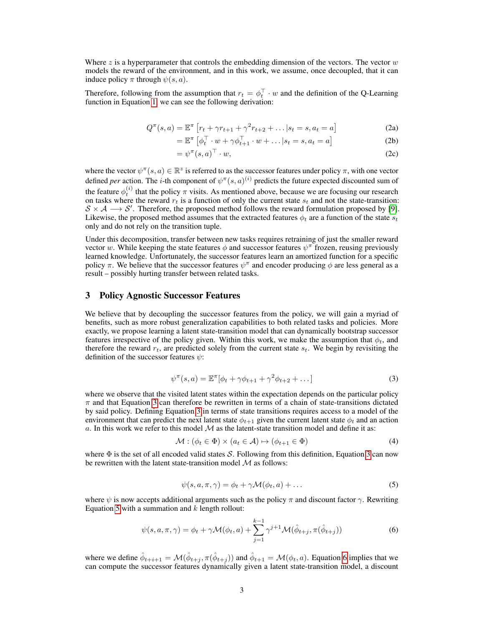Where z is a hyperparameter that controls the embedding dimension of the vectors. The vector  $w$ models the reward of the environment, and in this work, we assume, once decoupled, that it can induce policy  $\pi$  through  $\psi(s, a)$ .

<span id="page-2-4"></span>Therefore, following from the assumption that  $r_t = \phi_t^\top \cdot w$  and the definition of the Q-Learning function in Equation [1,](#page-1-1) we can see the following derivation:

$$
Q^{\pi}(s, a) = \mathbb{E}^{\pi} \left[ r_t + \gamma r_{t+1} + \gamma^2 r_{t+2} + \dots | s_t = s, a_t = a \right]
$$
 (2a)

$$
= \mathbb{E}^{\pi} \left[ \phi_t^{\top} \cdot w + \gamma \phi_{t+1}^{\top} \cdot w + \dots \vert s_t = s, a_t = a \right]
$$
 (2b)

<span id="page-2-5"></span>
$$
=\psi^{\pi}(s,a)^{\top}\cdot w,\tag{2c}
$$

where the vector  $\psi^{\pi}(s, a) \in \mathbb{R}^{z}$  is referred to as the successor features under policy  $\pi$ , with one vector defined *per* action. The *i*-th component of  $\psi^{\pi}(s, a)^{(i)}$  predicts the future expected discounted sum of the feature  $\phi_t^{(i)}$  that the policy  $\pi$  visits. As mentioned above, because we are focusing our research on tasks where the reward  $r_t$  is a function of only the current state  $s_t$  and not the state-transition:  $S \times A \longrightarrow S'$ . Therefore, the proposed method follows the reward formulation proposed by [\[9\]](#page-6-8). Likewise, the proposed method assumes that the extracted features  $\phi_t$  are a function of the state  $s_t$ only and do not rely on the transition tuple.

Under this decomposition, transfer between new tasks requires retraining of just the smaller reward vector w. While keeping the state features  $\phi$  and successor features  $\psi^{\pi}$  frozen, reusing previously learned knowledge. Unfortunately, the successor features learn an amortized function for a specific policy  $\pi$ . We believe that the successor features  $\psi^{\pi}$  and encoder producing  $\phi$  are less general as a result – possibly hurting transfer between related tasks.

## <span id="page-2-0"></span>3 Policy Agnostic Successor Features

We believe that by decoupling the successor features from the policy, we will gain a myriad of benefits, such as more robust generalization capabilities to both related tasks and policies. More exactly, we propose learning a latent state-transition model that can dynamically bootstrap successor features irrespective of the policy given. Within this work, we make the assumption that  $\phi_t$ , and therefore the reward  $r_t$ , are predicted solely from the current state  $s_t$ . We begin by revisiting the definition of the successor features  $\psi$ :

$$
\psi^{\pi}(s, a) = \mathbb{E}^{\pi}[\phi_t + \gamma \phi_{t+1} + \gamma^2 \phi_{t+2} + \dots]
$$
\n(3)

<span id="page-2-1"></span>where we observe that the visited latent states within the expectation depends on the particular policy  $\pi$  and that Equation [3](#page-2-1) can therefore be rewritten in terms of a chain of state-transitions dictated by said policy. Defining Equation [3](#page-2-1) in terms of state transitions requires access to a model of the environment that can predict the next latent state  $\phi_{t+1}$  given the current latent state  $\phi_t$  and an action a. In this work we refer to this model  $M$  as the latent-state transition model and define it as:

$$
\mathcal{M} : (\phi_t \in \Phi) \times (a_t \in \mathcal{A}) \mapsto (\phi_{t+1} \in \Phi)
$$
\n
$$
(4)
$$

<span id="page-2-2"></span>where  $\Phi$  is the set of all encoded valid states S. Following from this definition, Equation [3](#page-2-1) can now be rewritten with the latent state-transition model  $M$  as follows:

<span id="page-2-3"></span>
$$
\psi(s, a, \pi, \gamma) = \phi_t + \gamma \mathcal{M}(\phi_t, a) + \dots \tag{5}
$$

where  $\psi$  is now accepts additional arguments such as the policy  $\pi$  and discount factor  $\gamma$ . Rewriting Equation [5](#page-2-2) with a summation and  $k$  length rollout:

$$
\psi(s, a, \pi, \gamma) = \phi_t + \gamma \mathcal{M}(\phi_t, a) + \sum_{j=1}^{k-1} \gamma^{j+1} \mathcal{M}(\hat{\phi}_{t+j}, \pi(\hat{\phi}_{t+j}))
$$
(6)

where we define  $\hat{\phi}_{t+i+1} = \mathcal{M}(\hat{\phi}_{t+j}, \pi(\hat{\phi}_{t+j}))$  and  $\hat{\phi}_{t+1} = \mathcal{M}(\phi_t, a)$ . Equation [6](#page-2-3) implies that we can compute the successor features dynamically given a latent state-transition model, a discount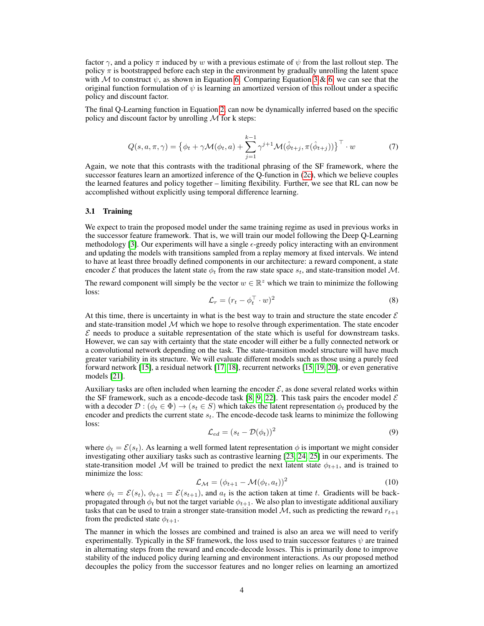factor  $\gamma$ , and a policy  $\pi$  induced by w with a previous estimate of  $\psi$  from the last rollout step. The policy  $\pi$  is bootstrapped before each step in the environment by gradually unrolling the latent space with M to construct  $\psi$ , as shown in Equation [6.](#page-2-3) Comparing Equation [3](#page-2-1) & [6,](#page-2-3) we can see that the original function formulation of  $\psi$  is learning an amortized version of this rollout under a specific policy and discount factor.

The final Q-Learning function in Equation [2,](#page-2-4) can now be dynamically inferred based on the specific policy and discount factor by unrolling  $M$  for k steps:

$$
Q(s, a, \pi, \gamma) = \left\{ \phi_t + \gamma \mathcal{M}(\phi_t, a) + \sum_{j=1}^{k-1} \gamma^{j+1} \mathcal{M}(\hat{\phi}_{t+j}, \pi(\hat{\phi}_{t+j})) \right\}^\top \cdot w \tag{7}
$$

Again, we note that this contrasts with the traditional phrasing of the SF framework, where the successor features learn an amortized inference of the Q-function in [\(2c\)](#page-2-5), which we believe couples the learned features and policy together – limiting flexibility. Further, we see that RL can now be accomplished without explicitly using temporal difference learning.

#### 3.1 Training

We expect to train the proposed model under the same training regime as used in previous works in the successor feature framework. That is, we will train our model following the Deep Q-Learning methodology [\[3\]](#page-6-2). Our experiments will have a single  $\epsilon$ -greedy policy interacting with an environment and updating the models with transitions sampled from a replay memory at fixed intervals. We intend to have at least three broadly defined components in our architecture: a reward component, a state encoder  $\mathcal E$  that produces the latent state  $\phi_t$  from the raw state space  $s_t$ , and state-transition model  $\mathcal M$ .

<span id="page-3-0"></span>The reward component will simply be the vector  $w \in \mathbb{R}^z$  which we train to minimize the following loss:

$$
\mathcal{L}_r = (r_t - \phi_t^\top \cdot w)^2 \tag{8}
$$

At this time, there is uncertainty in what is the best way to train and structure the state encoder  $\mathcal E$ and state-transition model  $M$  which we hope to resolve through experimentation. The state encoder  $\mathcal E$  needs to produce a suitable representation of the state which is useful for downstream tasks. However, we can say with certainty that the state encoder will either be a fully connected network or a convolutional network depending on the task. The state-transition model structure will have much greater variability in its structure. We will evaluate different models such as those using a purely feed forward network [\[15\]](#page-6-14), a residual network [\[17,](#page-6-16) [18\]](#page-6-17), recurrent networks [\[15,](#page-6-14) [19,](#page-6-18) [20\]](#page-6-19), or even generative models [\[21\]](#page-6-20).

Auxiliary tasks are often included when learning the encoder  $\mathcal{E}$ , as done several related works within the SF framework, such as a encode-decode task [\[8,](#page-6-7) [9,](#page-6-8) [22\]](#page-6-21). This task pairs the encoder model  $\mathcal E$ with a decoder  $\mathcal{D}: (\phi_t \in \Phi) \to (s_t \in S)$  which takes the latent representation  $\phi_t$  produced by the encoder and predicts the current state  $s_t$ . The encode-decode task learns to minimize the following loss:

$$
\mathcal{L}_{ed} = (s_t - \mathcal{D}(\phi_t))^2 \tag{9}
$$

where  $\phi_t = \mathcal{E}(s_t)$ . As learning a well formed latent representation  $\phi$  is important we might consider investigating other auxiliary tasks such as contrastive learning [\[23,](#page-7-0) [24,](#page-7-1) [25\]](#page-7-2) in our experiments. The state-transition model M will be trained to predict the next latent state  $\phi_{t+1}$ , and is trained to minimize the loss:

$$
\mathcal{L}_{\mathcal{M}} = (\phi_{t+1} - \mathcal{M}(\phi_t, a_t))^2
$$
\n(10)

where  $\phi_t = \mathcal{E}(s_t)$ ,  $\phi_{t+1} = \mathcal{E}(s_{t+1})$ , and  $a_t$  is the action taken at time t. Gradients will be backpropagated through  $\phi_t$  but not the target variable  $\phi_{t+1}$ . We also plan to investigate additional auxiliary tasks that can be used to train a stronger state-transition model  $M$ , such as predicting the reward  $r_{t+1}$ from the predicted state  $\phi_{t+1}$ .

The manner in which the losses are combined and trained is also an area we will need to verify experimentally. Typically in the SF framework, the loss used to train successor features  $\psi$  are trained in alternating steps from the reward and encode-decode losses. This is primarily done to improve stability of the induced policy during learning and environment interactions. As our proposed method decouples the policy from the successor features and no longer relies on learning an amortized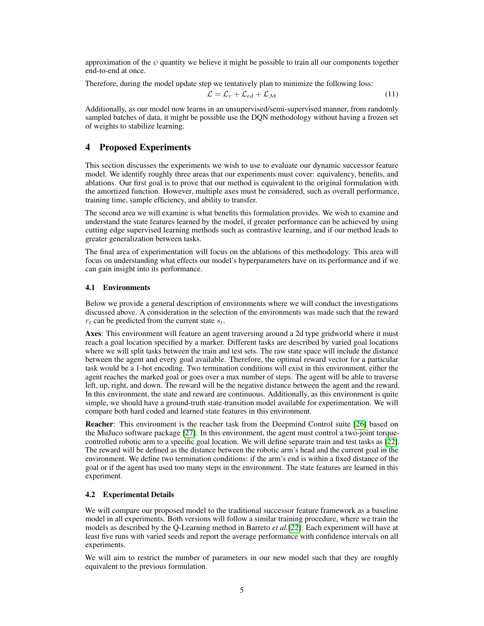approximation of the  $\psi$  quantity we believe it might be possible to train all our components together end-to-end at once.

Therefore, during the model update step we tentatively plan to minimize the following loss:

$$
\mathcal{L} = \mathcal{L}_r + \mathcal{L}_{ed} + \mathcal{L}_{\mathcal{M}} \tag{11}
$$

Additionally, as our model now learns in an unsupervised/semi-supervised manner, from randomly sampled batches of data, it might be possible use the DQN methodology without having a frozen set of weights to stabilize learning.

## <span id="page-4-0"></span>4 Proposed Experiments

This section discusses the experiments we wish to use to evaluate our dynamic successor feature model. We identify roughly three areas that our experiments must cover: equivalency, benefits, and ablations. Our first goal is to prove that our method is equivalent to the original formulation with the amortized function. However, multiple axes must be considered, such as overall performance, training time, sample efficiency, and ability to transfer.

The second area we will examine is what benefits this formulation provides. We wish to examine and understand the state features learned by the model, if greater performance can be achieved by using cutting edge supervised learning methods such as contrastive learning, and if our method leads to greater generalization between tasks.

The final area of experimentation will focus on the ablations of this methodology. This area will focus on understanding what effects our model's hyperparameters have on its performance and if we can gain insight into its performance.

#### 4.1 Environments

Below we provide a general description of environments where we will conduct the investigations discussed above. A consideration in the selection of the environments was made such that the reward  $r_t$  can be predicted from the current state  $s_t$ .

Axes: This environment will feature an agent traversing around a 2d type gridworld where it must reach a goal location specified by a marker. Different tasks are described by varied goal locations where we will split tasks between the train and test sets. The raw state space will include the distance between the agent and every goal available. Therefore, the optimal reward vector for a particular task would be a 1-hot encoding. Two termination conditions will exist in this environment, either the agent reaches the marked goal or goes over a max number of steps. The agent will be able to traverse left, up, right, and down. The reward will be the negative distance between the agent and the reward. In this environment, the state and reward are continuous. Additionally, as this environment is quite simple, we should have a ground-truth state-transition model available for experimentation. We will compare both hard coded and learned state features in this environment.

Reacher: This environment is the reacher task from the Deepmind Control suite [\[26\]](#page-7-3) based on the MuJuco software package [\[27\]](#page-7-4). In this environment, the agent must control a two-joint torquecontrolled robotic arm to a specific goal location. We will define separate train and test tasks as [\[22\]](#page-6-21). The reward will be defined as the distance between the robotic arm's head and the current goal in the environment. We define two termination conditions: if the arm's end is within a fixed distance of the goal or if the agent has used too many steps in the environment. The state features are learned in this experiment.

## 4.2 Experimental Details

We will compare our proposed model to the traditional successor feature framework as a baseline model in all experiments. Both versions will follow a similar training procedure, where we train the models as described by the Q-Learning method in Barreto *et al.*[\[22\]](#page-6-21). Each experiment will have at least five runs with varied seeds and report the average performance with confidence intervals on all experiments.

We will aim to restrict the number of parameters in our new model such that they are roughly equivalent to the previous formulation.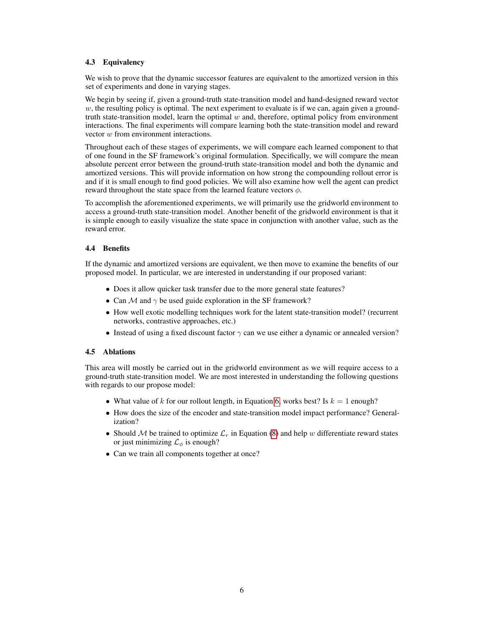## 4.3 Equivalency

We wish to prove that the dynamic successor features are equivalent to the amortized version in this set of experiments and done in varying stages.

We begin by seeing if, given a ground-truth state-transition model and hand-designed reward vector  $w$ , the resulting policy is optimal. The next experiment to evaluate is if we can, again given a groundtruth state-transition model, learn the optimal  $w$  and, therefore, optimal policy from environment interactions. The final experiments will compare learning both the state-transition model and reward vector w from environment interactions.

Throughout each of these stages of experiments, we will compare each learned component to that of one found in the SF framework's original formulation. Specifically, we will compare the mean absolute percent error between the ground-truth state-transition model and both the dynamic and amortized versions. This will provide information on how strong the compounding rollout error is and if it is small enough to find good policies. We will also examine how well the agent can predict reward throughout the state space from the learned feature vectors  $\phi$ .

To accomplish the aforementioned experiments, we will primarily use the gridworld environment to access a ground-truth state-transition model. Another benefit of the gridworld environment is that it is simple enough to easily visualize the state space in conjunction with another value, such as the reward error.

## 4.4 Benefits

If the dynamic and amortized versions are equivalent, we then move to examine the benefits of our proposed model. In particular, we are interested in understanding if our proposed variant:

- Does it allow quicker task transfer due to the more general state features?
- Can  $M$  and  $\gamma$  be used guide exploration in the SF framework?
- How well exotic modelling techniques work for the latent state-transition model? (recurrent networks, contrastive approaches, etc.)
- Instead of using a fixed discount factor  $\gamma$  can we use either a dynamic or annealed version?

## 4.5 Ablations

This area will mostly be carried out in the gridworld environment as we will require access to a ground-truth state-transition model. We are most interested in understanding the following questions with regards to our propose model:

- What value of k for our rollout length, in Equation [6,](#page-2-3) works best? Is  $k = 1$  enough?
- How does the size of the encoder and state-transition model impact performance? Generalization?
- Should M be trained to optimize  $\mathcal{L}_r$  in Equation [\(8\)](#page-3-0) and help w differentiate reward states or just minimizing  $\mathcal{L}_{\phi}$  is enough?
- Can we train all components together at once?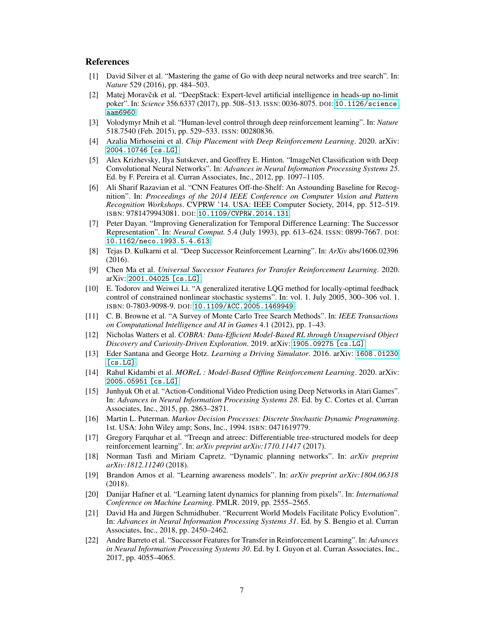# **References**

- <span id="page-6-0"></span>[1] David Silver et al. "Mastering the game of Go with deep neural networks and tree search". In: *Nature* 529 (2016), pp. 484–503.
- <span id="page-6-1"></span>[2] Matej Moravčık et al. "DeepStack: Expert-level artificial intelligence in heads-up no-limit poker". In: *Science* 356.6337 (2017), pp. 508–513. ISSN: 0036-8075. DOI: [10.1126/science.](https://doi.org/10.1126/science.aam6960) [aam6960](https://doi.org/10.1126/science.aam6960).
- <span id="page-6-2"></span>[3] Volodymyr Mnih et al. "Human-level control through deep reinforcement learning". In: *Nature* 518.7540 (Feb. 2015), pp. 529–533. ISSN: 00280836.
- <span id="page-6-3"></span>[4] Azalia Mirhoseini et al. *Chip Placement with Deep Reinforcement Learning*. 2020. arXiv: [2004.10746 \[cs.LG\]](https://arxiv.org/abs/2004.10746).
- <span id="page-6-4"></span>[5] Alex Krizhevsky, Ilya Sutskever, and Geoffrey E. Hinton. "ImageNet Classification with Deep Convolutional Neural Networks". In: *Advances in Neural Information Processing Systems 25*. Ed. by F. Pereira et al. Curran Associates, Inc., 2012, pp. 1097–1105.
- <span id="page-6-5"></span>[6] Ali Sharif Razavian et al. "CNN Features Off-the-Shelf: An Astounding Baseline for Recognition". In: *Proceedings of the 2014 IEEE Conference on Computer Vision and Pattern Recognition Workshops*. CVPRW '14. USA: IEEE Computer Society, 2014, pp. 512–519. ISBN: 9781479943081. DOI: [10.1109/CVPRW.2014.131](https://doi.org/10.1109/CVPRW.2014.131).
- <span id="page-6-6"></span>[7] Peter Dayan. "Improving Generalization for Temporal Difference Learning: The Successor Representation". In: *Neural Comput.* 5.4 (July 1993), pp. 613–624. ISSN: 0899-7667. DOI: [10.1162/neco.1993.5.4.613](https://doi.org/10.1162/neco.1993.5.4.613).
- <span id="page-6-7"></span>[8] Tejas D. Kulkarni et al. "Deep Successor Reinforcement Learning". In: *ArXiv* abs/1606.02396 (2016).
- <span id="page-6-8"></span>[9] Chen Ma et al. *Universal Successor Features for Transfer Reinforcement Learning*. 2020. arXiv: [2001.04025 \[cs.LG\]](https://arxiv.org/abs/2001.04025).
- <span id="page-6-9"></span>[10] E. Todorov and Weiwei Li. "A generalized iterative LQG method for locally-optimal feedback control of constrained nonlinear stochastic systems". In: vol. 1. July 2005, 300–306 vol. 1. ISBN: 0-7803-9098-9. DOI: [10.1109/ACC.2005.1469949](https://doi.org/10.1109/ACC.2005.1469949).
- <span id="page-6-10"></span>[11] C. B. Browne et al. "A Survey of Monte Carlo Tree Search Methods". In: *IEEE Transactions on Computational Intelligence and AI in Games* 4.1 (2012), pp. 1–43.
- <span id="page-6-11"></span>[12] Nicholas Watters et al. *COBRA: Data-Efficient Model-Based RL through Unsupervised Object Discovery and Curiosity-Driven Exploration*. 2019. arXiv: [1905.09275 \[cs.LG\]](https://arxiv.org/abs/1905.09275).
- <span id="page-6-12"></span>[13] Eder Santana and George Hotz. *Learning a Driving Simulator*. 2016. arXiv: [1608.01230](https://arxiv.org/abs/1608.01230) [\[cs.LG\]](https://arxiv.org/abs/1608.01230).
- <span id="page-6-13"></span>[14] Rahul Kidambi et al. *MOReL : Model-Based Offline Reinforcement Learning*. 2020. arXiv: [2005.05951 \[cs.LG\]](https://arxiv.org/abs/2005.05951).
- <span id="page-6-14"></span>[15] Junhyuk Oh et al. "Action-Conditional Video Prediction using Deep Networks in Atari Games". In: *Advances in Neural Information Processing Systems 28*. Ed. by C. Cortes et al. Curran Associates, Inc., 2015, pp. 2863–2871.
- <span id="page-6-15"></span>[16] Martin L. Puterman. *Markov Decision Processes: Discrete Stochastic Dynamic Programming*. 1st. USA: John Wiley amp; Sons, Inc., 1994. ISBN: 0471619779.
- <span id="page-6-16"></span>[17] Gregory Farquhar et al. "Treeqn and atreec: Differentiable tree-structured models for deep reinforcement learning". In: *arXiv preprint arXiv:1710.11417* (2017).
- <span id="page-6-17"></span>[18] Norman Tasfi and Miriam Capretz. "Dynamic planning networks". In: *arXiv preprint arXiv:1812.11240* (2018).
- <span id="page-6-18"></span>[19] Brandon Amos et al. "Learning awareness models". In: *arXiv preprint arXiv:1804.06318* (2018).
- <span id="page-6-19"></span>[20] Danijar Hafner et al. "Learning latent dynamics for planning from pixels". In: *International Conference on Machine Learning*. PMLR. 2019, pp. 2555–2565.
- <span id="page-6-20"></span>[21] David Ha and Jürgen Schmidhuber. "Recurrent World Models Facilitate Policy Evolution". In: *Advances in Neural Information Processing Systems 31*. Ed. by S. Bengio et al. Curran Associates, Inc., 2018, pp. 2450–2462.
- <span id="page-6-21"></span>[22] Andre Barreto et al. "Successor Features for Transfer in Reinforcement Learning". In: *Advances in Neural Information Processing Systems 30*. Ed. by I. Guyon et al. Curran Associates, Inc., 2017, pp. 4055–4065.